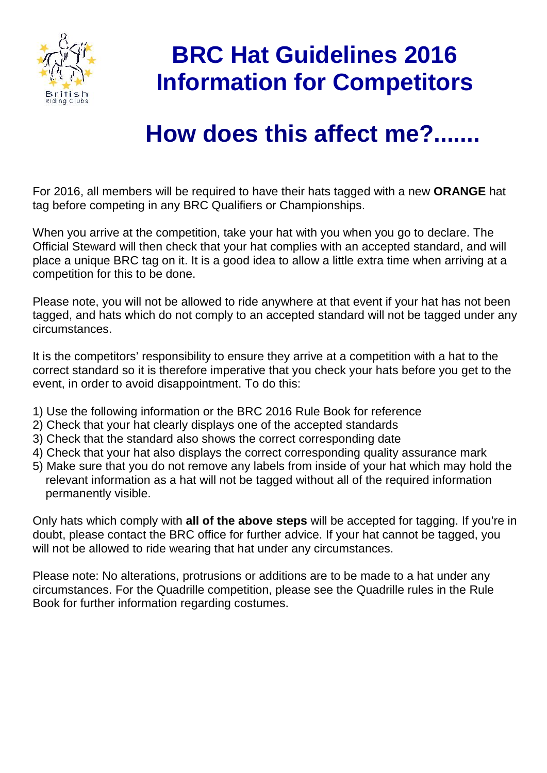

## **BRC Hat Guidelines 2016 Information for Competitors**

## **How does this affect me?.......**

For 2016, all members will be required to have their hats tagged with a new **ORANGE** hat tag before competing in any BRC Qualifiers or Championships.

When you arrive at the competition, take your hat with you when you go to declare. The Official Steward will then check that your hat complies with an accepted standard, and will place a unique BRC tag on it. It is a good idea to allow a little extra time when arriving at a competition for this to be done.

Please note, you will not be allowed to ride anywhere at that event if your hat has not been tagged, and hats which do not comply to an accepted standard will not be tagged under any circumstances.

It is the competitors' responsibility to ensure they arrive at a competition with a hat to the correct standard so it is therefore imperative that you check your hats before you get to the event, in order to avoid disappointment. To do this:

- 1) Use the following information or the BRC 2016 Rule Book for reference
- 2) Check that your hat clearly displays one of the accepted standards
- 3) Check that the standard also shows the correct corresponding date
- 4) Check that your hat also displays the correct corresponding quality assurance mark
- 5) Make sure that you do not remove any labels from inside of your hat which may hold the relevant information as a hat will not be tagged without all of the required information permanently visible.

Only hats which comply with **all of the above steps** will be accepted for tagging. If you're in doubt, please contact the BRC office for further advice. If your hat cannot be tagged, you will not be allowed to ride wearing that hat under any circumstances.

Please note: No alterations, protrusions or additions are to be made to a hat under any circumstances. For the Quadrille competition, please see the Quadrille rules in the Rule Book for further information regarding costumes.